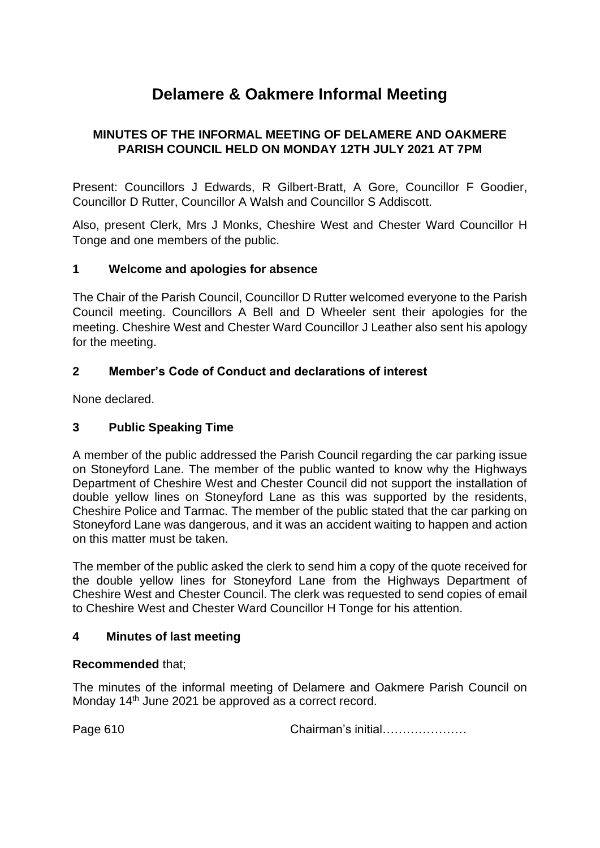# **Delamere & Oakmere Informal Meeting**

# **MINUTES OF THE INFORMAL MEETING OF DELAMERE AND OAKMERE PARISH COUNCIL HELD ON MONDAY 12TH JULY 2021 AT 7PM**

Present: Councillors J Edwards, R Gilbert-Bratt, A Gore, Councillor F Goodier, Councillor D Rutter, Councillor A Walsh and Councillor S Addiscott.

Also, present Clerk, Mrs J Monks, Cheshire West and Chester Ward Councillor H Tonge and one members of the public.

# **1 Welcome and apologies for absence**

The Chair of the Parish Council, Councillor D Rutter welcomed everyone to the Parish Council meeting. Councillors A Bell and D Wheeler sent their apologies for the meeting. Cheshire West and Chester Ward Councillor J Leather also sent his apology for the meeting.

# **2 Member's Code of Conduct and declarations of interest**

None declared.

# **3 Public Speaking Time**

A member of the public addressed the Parish Council regarding the car parking issue on Stoneyford Lane. The member of the public wanted to know why the Highways Department of Cheshire West and Chester Council did not support the installation of double yellow lines on Stoneyford Lane as this was supported by the residents, Cheshire Police and Tarmac. The member of the public stated that the car parking on Stoneyford Lane was dangerous, and it was an accident waiting to happen and action on this matter must be taken.

The member of the public asked the clerk to send him a copy of the quote received for the double yellow lines for Stoneyford Lane from the Highways Department of Cheshire West and Chester Council. The clerk was requested to send copies of email to Cheshire West and Chester Ward Councillor H Tonge for his attention.

# **4 Minutes of last meeting**

#### **Recommended** that;

The minutes of the informal meeting of Delamere and Oakmere Parish Council on Monday 14<sup>th</sup> June 2021 be approved as a correct record.

Page 610 **Chairman's initial………………**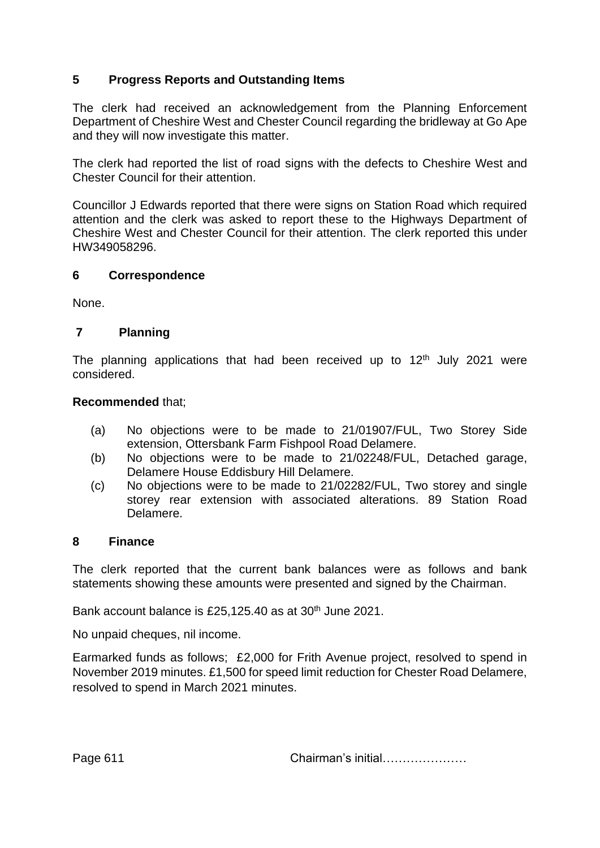# **5 Progress Reports and Outstanding Items**

The clerk had received an acknowledgement from the Planning Enforcement Department of Cheshire West and Chester Council regarding the bridleway at Go Ape and they will now investigate this matter.

The clerk had reported the list of road signs with the defects to Cheshire West and Chester Council for their attention.

Councillor J Edwards reported that there were signs on Station Road which required attention and the clerk was asked to report these to the Highways Department of Cheshire West and Chester Council for their attention. The clerk reported this under HW349058296.

#### **6 Correspondence**

None.

#### **7 Planning**

The planning applications that had been received up to  $12<sup>th</sup>$  July 2021 were considered.

#### **Recommended** that;

- (a) No objections were to be made to 21/01907/FUL, Two Storey Side extension, Ottersbank Farm Fishpool Road Delamere.
- (b) No objections were to be made to 21/02248/FUL, Detached garage, Delamere House Eddisbury Hill Delamere.
- (c) No objections were to be made to 21/02282/FUL, Two storey and single storey rear extension with associated alterations. 89 Station Road Delamere.

#### **8 Finance**

The clerk reported that the current bank balances were as follows and bank statements showing these amounts were presented and signed by the Chairman.

Bank account balance is £25,125.40 as at 30<sup>th</sup> June 2021.

No unpaid cheques, nil income.

Earmarked funds as follows; £2,000 for Frith Avenue project, resolved to spend in November 2019 minutes. £1,500 for speed limit reduction for Chester Road Delamere, resolved to spend in March 2021 minutes.

Page 611 Chairman's initial…………………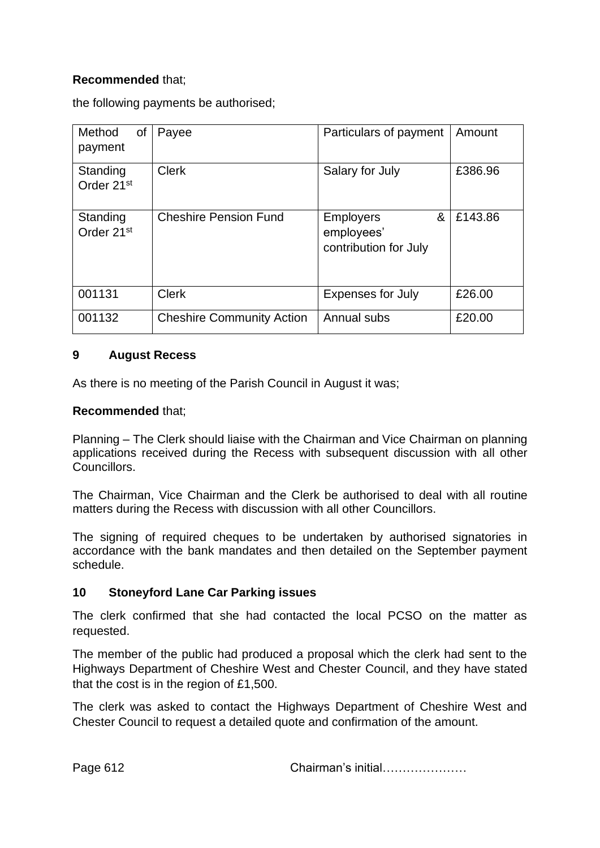# **Recommended** that;

the following payments be authorised;

| Method<br>οf<br>payment            | Payee                            | Particulars of payment                                       | Amount  |
|------------------------------------|----------------------------------|--------------------------------------------------------------|---------|
| Standing<br>Order 21 <sup>st</sup> | <b>Clerk</b>                     | Salary for July                                              | £386.96 |
| Standing<br>Order 21 <sup>st</sup> | <b>Cheshire Pension Fund</b>     | &<br><b>Employers</b><br>employees'<br>contribution for July | £143.86 |
| 001131                             | <b>Clerk</b>                     | <b>Expenses for July</b>                                     | £26.00  |
| 001132                             | <b>Cheshire Community Action</b> | Annual subs                                                  | £20.00  |

# **9 August Recess**

As there is no meeting of the Parish Council in August it was;

#### **Recommended** that;

Planning – The Clerk should liaise with the Chairman and Vice Chairman on planning applications received during the Recess with subsequent discussion with all other Councillors.

The Chairman, Vice Chairman and the Clerk be authorised to deal with all routine matters during the Recess with discussion with all other Councillors.

The signing of required cheques to be undertaken by authorised signatories in accordance with the bank mandates and then detailed on the September payment schedule.

#### **10 Stoneyford Lane Car Parking issues**

The clerk confirmed that she had contacted the local PCSO on the matter as requested.

The member of the public had produced a proposal which the clerk had sent to the Highways Department of Cheshire West and Chester Council, and they have stated that the cost is in the region of £1,500.

The clerk was asked to contact the Highways Department of Cheshire West and Chester Council to request a detailed quote and confirmation of the amount.

Page 612 **Chairman's initial………………**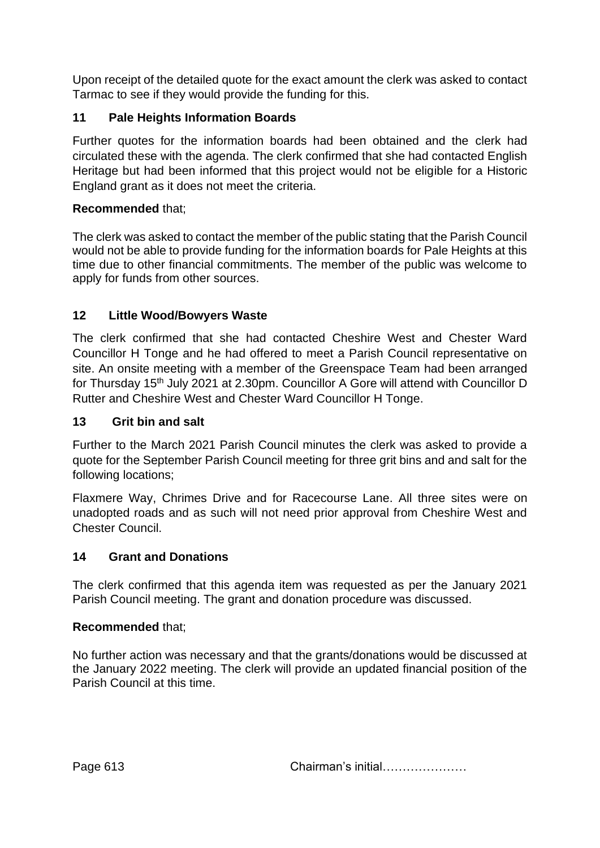Upon receipt of the detailed quote for the exact amount the clerk was asked to contact Tarmac to see if they would provide the funding for this.

# **11 Pale Heights Information Boards**

Further quotes for the information boards had been obtained and the clerk had circulated these with the agenda. The clerk confirmed that she had contacted English Heritage but had been informed that this project would not be eligible for a Historic England grant as it does not meet the criteria.

# **Recommended** that;

The clerk was asked to contact the member of the public stating that the Parish Council would not be able to provide funding for the information boards for Pale Heights at this time due to other financial commitments. The member of the public was welcome to apply for funds from other sources.

# **12 Little Wood/Bowyers Waste**

The clerk confirmed that she had contacted Cheshire West and Chester Ward Councillor H Tonge and he had offered to meet a Parish Council representative on site. An onsite meeting with a member of the Greenspace Team had been arranged for Thursday 15<sup>th</sup> July 2021 at 2.30pm. Councillor A Gore will attend with Councillor D Rutter and Cheshire West and Chester Ward Councillor H Tonge.

# **13 Grit bin and salt**

Further to the March 2021 Parish Council minutes the clerk was asked to provide a quote for the September Parish Council meeting for three grit bins and and salt for the following locations;

Flaxmere Way, Chrimes Drive and for Racecourse Lane. All three sites were on unadopted roads and as such will not need prior approval from Cheshire West and Chester Council.

# **14 Grant and Donations**

The clerk confirmed that this agenda item was requested as per the January 2021 Parish Council meeting. The grant and donation procedure was discussed.

# **Recommended** that;

No further action was necessary and that the grants/donations would be discussed at the January 2022 meeting. The clerk will provide an updated financial position of the Parish Council at this time.

Page 613 **Chairman's initial………………**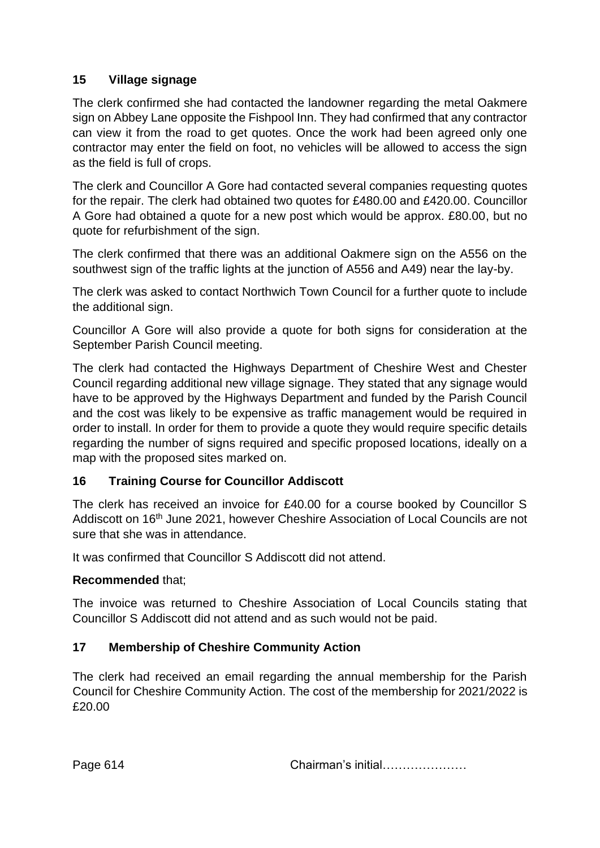# **15 Village signage**

The clerk confirmed she had contacted the landowner regarding the metal Oakmere sign on Abbey Lane opposite the Fishpool Inn. They had confirmed that any contractor can view it from the road to get quotes. Once the work had been agreed only one contractor may enter the field on foot, no vehicles will be allowed to access the sign as the field is full of crops.

The clerk and Councillor A Gore had contacted several companies requesting quotes for the repair. The clerk had obtained two quotes for £480.00 and £420.00. Councillor A Gore had obtained a quote for a new post which would be approx. £80.00, but no quote for refurbishment of the sign.

The clerk confirmed that there was an additional Oakmere sign on the A556 on the southwest sign of the traffic lights at the junction of A556 and A49) near the lay-by.

The clerk was asked to contact Northwich Town Council for a further quote to include the additional sign.

Councillor A Gore will also provide a quote for both signs for consideration at the September Parish Council meeting.

The clerk had contacted the Highways Department of Cheshire West and Chester Council regarding additional new village signage. They stated that any signage would have to be approved by the Highways Department and funded by the Parish Council and the cost was likely to be expensive as traffic management would be required in order to install. In order for them to provide a quote they would require specific details regarding the number of signs required and specific proposed locations, ideally on a map with the proposed sites marked on.

# **16 Training Course for Councillor Addiscott**

The clerk has received an invoice for £40.00 for a course booked by Councillor S Addiscott on 16th June 2021, however Cheshire Association of Local Councils are not sure that she was in attendance.

It was confirmed that Councillor S Addiscott did not attend.

#### **Recommended** that;

The invoice was returned to Cheshire Association of Local Councils stating that Councillor S Addiscott did not attend and as such would not be paid.

# **17 Membership of Cheshire Community Action**

The clerk had received an email regarding the annual membership for the Parish Council for Cheshire Community Action. The cost of the membership for 2021/2022 is £20.00

Page 614 Chairman's initial…………………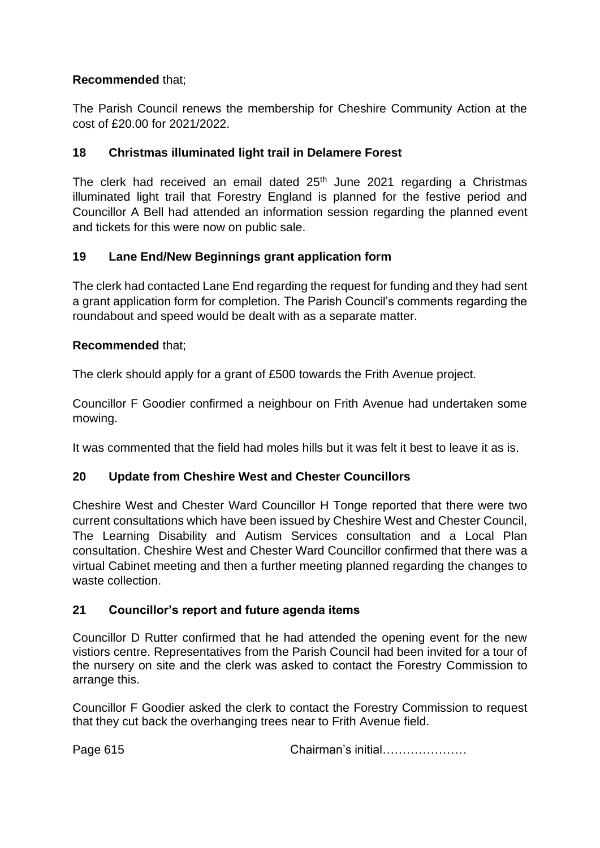# **Recommended** that;

The Parish Council renews the membership for Cheshire Community Action at the cost of £20.00 for 2021/2022.

# **18 Christmas illuminated light trail in Delamere Forest**

The clerk had received an email dated  $25<sup>th</sup>$  June 2021 regarding a Christmas illuminated light trail that Forestry England is planned for the festive period and Councillor A Bell had attended an information session regarding the planned event and tickets for this were now on public sale.

# **19 Lane End/New Beginnings grant application form**

The clerk had contacted Lane End regarding the request for funding and they had sent a grant application form for completion. The Parish Council's comments regarding the roundabout and speed would be dealt with as a separate matter.

# **Recommended** that;

The clerk should apply for a grant of £500 towards the Frith Avenue project.

Councillor F Goodier confirmed a neighbour on Frith Avenue had undertaken some mowing.

It was commented that the field had moles hills but it was felt it best to leave it as is.

# **20 Update from Cheshire West and Chester Councillors**

Cheshire West and Chester Ward Councillor H Tonge reported that there were two current consultations which have been issued by Cheshire West and Chester Council, The [Learning Disability and Autism Services consultation](https://participatenow.cheshirewestandchester.gov.uk/hub-page/learning-disability-and-autism-services-consultation) and a Local Plan consultation. Cheshire West and Chester Ward Councillor confirmed that there was a virtual Cabinet meeting and then a further meeting planned regarding the changes to waste collection.

# **21 Councillor's report and future agenda items**

Councillor D Rutter confirmed that he had attended the opening event for the new vistiors centre. Representatives from the Parish Council had been invited for a tour of the nursery on site and the clerk was asked to contact the Forestry Commission to arrange this.

Councillor F Goodier asked the clerk to contact the Forestry Commission to request that they cut back the overhanging trees near to Frith Avenue field.

Page 615 **Chairman's initial………………**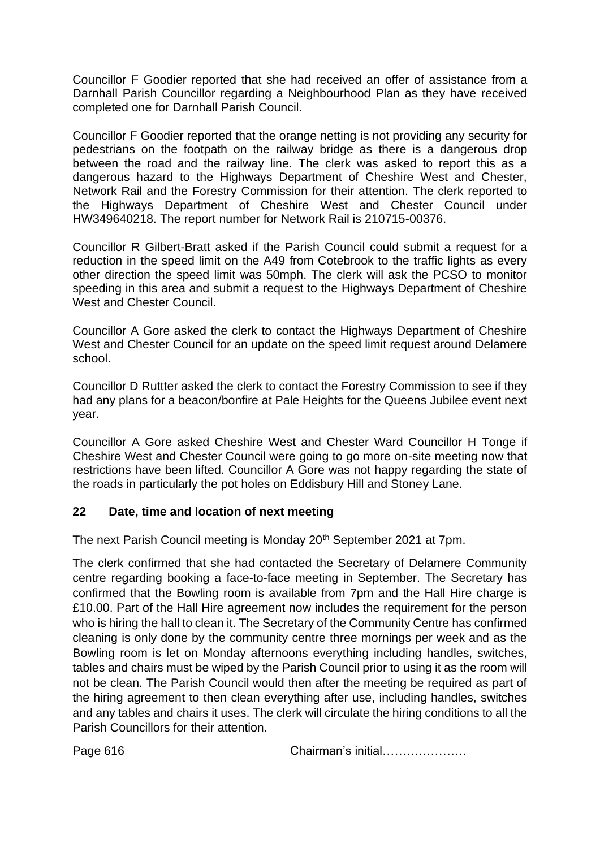Councillor F Goodier reported that she had received an offer of assistance from a Darnhall Parish Councillor regarding a Neighbourhood Plan as they have received completed one for Darnhall Parish Council.

Councillor F Goodier reported that the orange netting is not providing any security for pedestrians on the footpath on the railway bridge as there is a dangerous drop between the road and the railway line. The clerk was asked to report this as a dangerous hazard to the Highways Department of Cheshire West and Chester, Network Rail and the Forestry Commission for their attention. The clerk reported to the Highways Department of Cheshire West and Chester Council under HW349640218. The report number for Network Rail is 210715-00376.

Councillor R Gilbert-Bratt asked if the Parish Council could submit a request for a reduction in the speed limit on the A49 from Cotebrook to the traffic lights as every other direction the speed limit was 50mph. The clerk will ask the PCSO to monitor speeding in this area and submit a request to the Highways Department of Cheshire West and Chester Council.

Councillor A Gore asked the clerk to contact the Highways Department of Cheshire West and Chester Council for an update on the speed limit request around Delamere school.

Councillor D Ruttter asked the clerk to contact the Forestry Commission to see if they had any plans for a beacon/bonfire at Pale Heights for the Queens Jubilee event next year.

Councillor A Gore asked Cheshire West and Chester Ward Councillor H Tonge if Cheshire West and Chester Council were going to go more on-site meeting now that restrictions have been lifted. Councillor A Gore was not happy regarding the state of the roads in particularly the pot holes on Eddisbury Hill and Stoney Lane.

# **22 Date, time and location of next meeting**

The next Parish Council meeting is Monday 20<sup>th</sup> September 2021 at 7pm.

The clerk confirmed that she had contacted the Secretary of Delamere Community centre regarding booking a face-to-face meeting in September. The Secretary has confirmed that the Bowling room is available from 7pm and the Hall Hire charge is £10.00. Part of the Hall Hire agreement now includes the requirement for the person who is hiring the hall to clean it. The Secretary of the Community Centre has confirmed cleaning is only done by the community centre three mornings per week and as the Bowling room is let on Monday afternoons everything including handles, switches, tables and chairs must be wiped by the Parish Council prior to using it as the room will not be clean. The Parish Council would then after the meeting be required as part of the hiring agreement to then clean everything after use, including handles, switches and any tables and chairs it uses. The clerk will circulate the hiring conditions to all the Parish Councillors for their attention.

Page 616 **Chairman's initial………………**